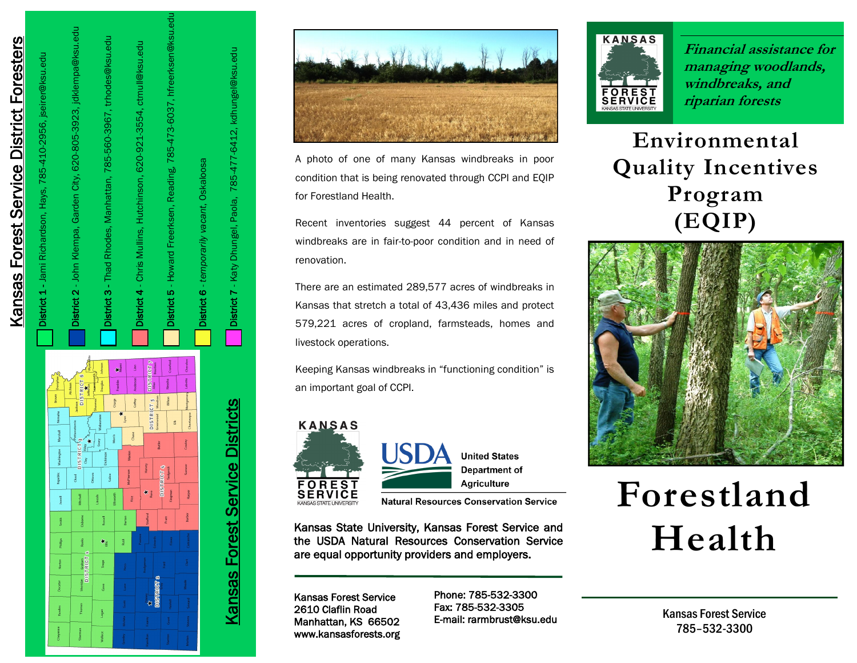



A photo of one of many Kansas windbreaks in poor condition that is being renovated through CCPI and EQIP for Forestland Health.

Recent inventories suggest 44 percent of Kansas windbreaks are in fair -to -poor condition and in need of renovation.

There are an estimated 289,577 acres of windbreaks in Kansas that stretch a total of 43,436 miles and protect 579,221 acres of cropland, farmsteads, homes and livestock operations.

Keeping Kansas windbreaks in "functioning condition" is an important goal of CCPI.



Kansas State University, Kansas Forest Service and the USDA Natural Resources Conservation Service

Kansas Forest Service 2610 Claflin Road Manhattan, KS 66502 www.kansasforests.org

Phone: 785 -532 -3300 Fax: 785 -532 E-mail: rarmbrust@ksu.edu



**Financial assistance for managing woodlands, windbreaks, and riparian forests**

**Environmental Quality Incentives Program (EQIP)** 



# **Forestland Health**

Kansas Forest Service 785 –532 -3300